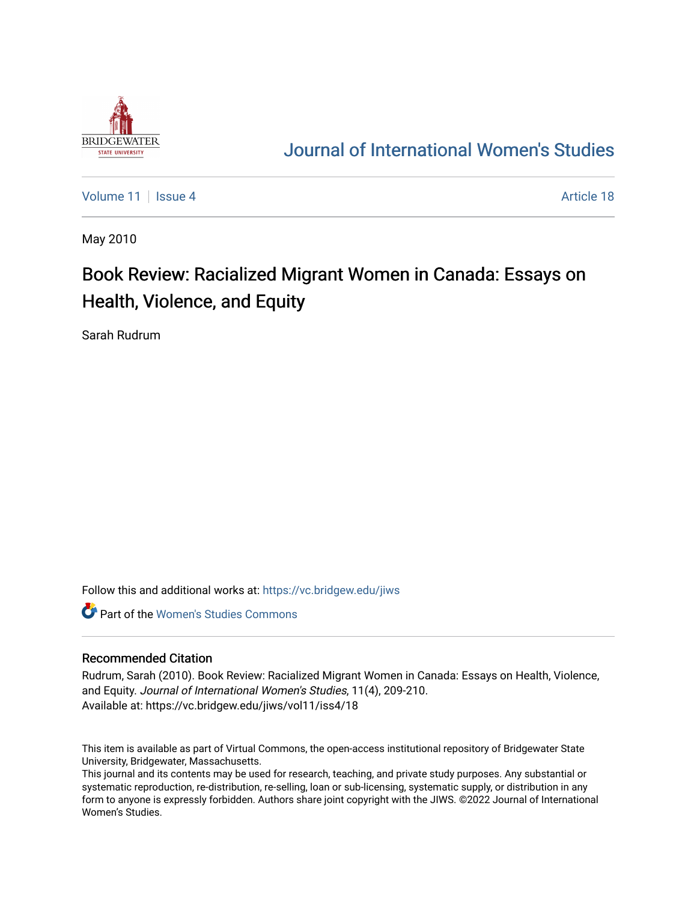

## [Journal of International Women's Studies](https://vc.bridgew.edu/jiws)

[Volume 11](https://vc.bridgew.edu/jiws/vol11) | [Issue 4](https://vc.bridgew.edu/jiws/vol11/iss4) Article 18

May 2010

## Book Review: Racialized Migrant Women in Canada: Essays on Health, Violence, and Equity

Sarah Rudrum

Follow this and additional works at: [https://vc.bridgew.edu/jiws](https://vc.bridgew.edu/jiws?utm_source=vc.bridgew.edu%2Fjiws%2Fvol11%2Fiss4%2F18&utm_medium=PDF&utm_campaign=PDFCoverPages)

**C** Part of the Women's Studies Commons

## Recommended Citation

Rudrum, Sarah (2010). Book Review: Racialized Migrant Women in Canada: Essays on Health, Violence, and Equity. Journal of International Women's Studies, 11(4), 209-210. Available at: https://vc.bridgew.edu/jiws/vol11/iss4/18

This item is available as part of Virtual Commons, the open-access institutional repository of Bridgewater State University, Bridgewater, Massachusetts.

This journal and its contents may be used for research, teaching, and private study purposes. Any substantial or systematic reproduction, re-distribution, re-selling, loan or sub-licensing, systematic supply, or distribution in any form to anyone is expressly forbidden. Authors share joint copyright with the JIWS. ©2022 Journal of International Women's Studies.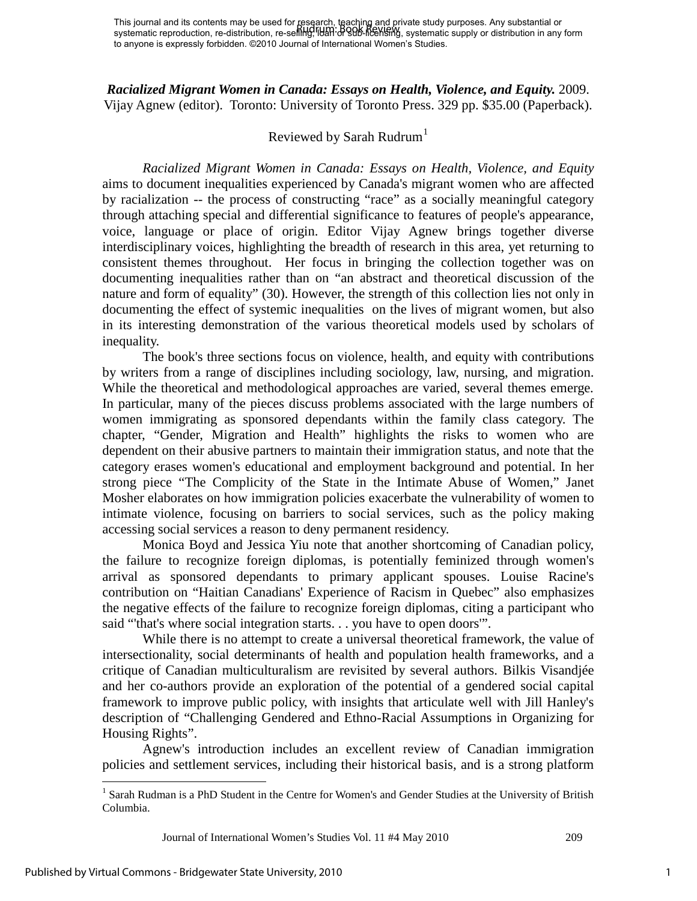*Racialized Migrant Women in Canada: Essays on Health, Violence, and Equity.* 2009. Vijay Agnew (editor). Toronto: University of Toronto Press. 329 pp. \$35.00 (Paperback).

## Reviewed by Sarah Rudrum<sup>[1](#page-1-0)</sup>

*Racialized Migrant Women in Canada: Essays on Health, Violence, and Equity* aims to document inequalities experienced by Canada's migrant women who are affected by racialization -- the process of constructing "race" as a socially meaningful category through attaching special and differential significance to features of people's appearance, voice, language or place of origin. Editor Vijay Agnew brings together diverse interdisciplinary voices, highlighting the breadth of research in this area, yet returning to consistent themes throughout. Her focus in bringing the collection together was on documenting inequalities rather than on "an abstract and theoretical discussion of the nature and form of equality" (30). However, the strength of this collection lies not only in documenting the effect of systemic inequalities on the lives of migrant women, but also in its interesting demonstration of the various theoretical models used by scholars of inequality.

The book's three sections focus on violence, health, and equity with contributions by writers from a range of disciplines including sociology, law, nursing, and migration. While the theoretical and methodological approaches are varied, several themes emerge*.* In particular, many of the pieces discuss problems associated with the large numbers of women immigrating as sponsored dependants within the family class category. The chapter, "Gender, Migration and Health" highlights the risks to women who are dependent on their abusive partners to maintain their immigration status, and note that the category erases women's educational and employment background and potential. In her strong piece "The Complicity of the State in the Intimate Abuse of Women," Janet Mosher elaborates on how immigration policies exacerbate the vulnerability of women to intimate violence, focusing on barriers to social services, such as the policy making accessing social services a reason to deny permanent residency.

Monica Boyd and Jessica Yiu note that another shortcoming of Canadian policy, the failure to recognize foreign diplomas, is potentially feminized through women's arrival as sponsored dependants to primary applicant spouses. Louise Racine's contribution on "Haitian Canadians' Experience of Racism in Quebec" also emphasizes the negative effects of the failure to recognize foreign diplomas, citing a participant who said "'that's where social integration starts. . . you have to open doors'".

While there is no attempt to create a universal theoretical framework, the value of intersectionality, social determinants of health and population health frameworks, and a critique of Canadian multiculturalism are revisited by several authors. Bilkis Visandjée and her co-authors provide an exploration of the potential of a gendered social capital framework to improve public policy, with insights that articulate well with Jill Hanley's description of "Challenging Gendered and Ethno-Racial Assumptions in Organizing for Housing Rights".

Agnew's introduction includes an excellent review of Canadian immigration policies and settlement services, including their historical basis, and is a strong platform

Journal of International Women's Studies Vol. 11 #4 May 2010 209

 $\overline{a}$ 

<span id="page-1-0"></span><sup>&</sup>lt;sup>1</sup> Sarah Rudman is a PhD Student in the Centre for Women's and Gender Studies at the University of British Columbia.